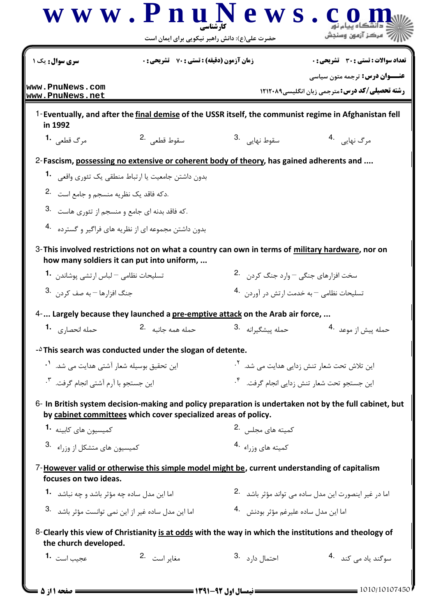| <b>سری سوال :</b> یک ۱                                          | <b>زمان آزمون (دقیقه) : تستی : 70 ٪ تشریحی : 0</b>                                                                                             |                                                            | تعداد سوالات : تستي : 30 ٪ تشريحي : 0                                                                  |  |
|-----------------------------------------------------------------|------------------------------------------------------------------------------------------------------------------------------------------------|------------------------------------------------------------|--------------------------------------------------------------------------------------------------------|--|
| www.PnuNews.com<br>www.PnuNews.net                              |                                                                                                                                                |                                                            | <b>عنـــوان درس:</b> ترجمه متون سیاسی<br>رشته تحصیلی/کد درس: مترجمی زبان انگلیسی1۲۱۲۰۸۹                |  |
| in 1992                                                         |                                                                                                                                                |                                                            | 1-Eventually, and after the final demise of the USSR itself, the communist regime in Afghanistan fell  |  |
| مرگ قطعي <b>1</b> .                                             | سقوط قطعي 2.                                                                                                                                   | 3. سقوط نهاي <sub>ى</sub>                                  | مرگ نهایی 4.                                                                                           |  |
|                                                                 | 2-Fascism, possessing no extensive or coherent body of theory, has gained adherents and                                                        |                                                            |                                                                                                        |  |
|                                                                 | بدون داشتن جامعیت یا ارتباط منطقی یک تئوری واقعی مسلم                                                                                          |                                                            |                                                                                                        |  |
| 2. دکه فاقد یک نظریه منسجم و جامع است.                          |                                                                                                                                                |                                                            |                                                                                                        |  |
| .که فاقد بدنه ای جامع و منسجم از تئوری هاست .3                  |                                                                                                                                                |                                                            |                                                                                                        |  |
|                                                                 | بدون داشتن مجموعه ای از نظریه های فراگیر و گسترده 4.                                                                                           |                                                            |                                                                                                        |  |
|                                                                 | 3-This involved restrictions not on what a country can own in terms of military hardware, nor on<br>how many soldiers it can put into uniform, |                                                            |                                                                                                        |  |
| تسلیحات نظامی <sup>—</sup> لباس ارتشی پوشاندن <b>1</b> ۰        |                                                                                                                                                | سخت افزارهای جنگی <sup>—</sup> وارد جنگ کردن <sup>.2</sup> |                                                                                                        |  |
| جنگ افزا <sub>د</sub> ها <sup>—</sup> به صف کردن . <sup>3</sup> |                                                                                                                                                | تسليحات نظامي – به خدمت ارتش در آوردن 4۰                   |                                                                                                        |  |
|                                                                 | $4$ - Largely because they launched a pre-emptive attack on the Arab air force,                                                                |                                                            |                                                                                                        |  |
| حمله انحصا <sub>د ک</sub> ه <b>1</b> ۰                          | حمله همه جانبه 2.                                                                                                                              | حمله پیشگیرانه <sup>.3</sup>                               | حمله پیش از موعد <sup>.4</sup>                                                                         |  |
|                                                                 | - <sup><math>\Delta</math></sup> This search was conducted under the slogan of detente.                                                        |                                                            |                                                                                                        |  |
| این تحقیق بوسیله شعار آشتی هدایت می شد. <sup>۱</sup> ۰          |                                                                                                                                                | این تلاش تحت شعار تنش زدایی هدایت می شد. <sup>۲</sup> ۰    |                                                                                                        |  |
| این جستجو با آرم آشتی انجام گرفت. <sup>۳</sup> ۰                |                                                                                                                                                | این جستجو تحت شعار تنش زدایی انجام گرفت. <sup>۴</sup> ۰    |                                                                                                        |  |
|                                                                 | by cabinet committees which cover specialized areas of policy.                                                                                 |                                                            | 6- In British system decision-making and policy preparation is undertaken not by the full cabinet, but |  |
| كميسيون هاي كاسنه <b>1</b> ۰                                    |                                                                                                                                                | کمیته های مجلس . <sup>2</sup>                              |                                                                                                        |  |
| كميسيون هاي متشكل از وزراء <sup>3</sup>                         |                                                                                                                                                | 4. د او د او د به به به به به به به ک                      |                                                                                                        |  |
| focuses on two ideas.                                           | 7-However valid or otherwise this simple model might be, current understanding of capitalism                                                   |                                                            |                                                                                                        |  |
| اما این مدل ساده چه مؤثر باشد و چه نباشد <b>1</b> ۰             |                                                                                                                                                |                                                            | اما در غیر اینصورت این مدل ساده می تواند مؤثر باشد۔ <sup>2</sup> ۰                                     |  |
| اما این مدل ساده غیر از این نمی توانست مؤثر باشد . 3            |                                                                                                                                                | اما اين مدل ساده عليرغم مؤثر بودنش <sup>4</sup> ·          |                                                                                                        |  |
| the church developed.                                           |                                                                                                                                                |                                                            | 8-Clearly this view of Christianity is at odds with the way in which the institutions and theology of  |  |
| عجیب است 1۰                                                     | مغاير است 2.                                                                                                                                   | 3. احتمال دا <sub>د</sub> د                                | سوگند ياد مي كند <sup>4</sup> .                                                                        |  |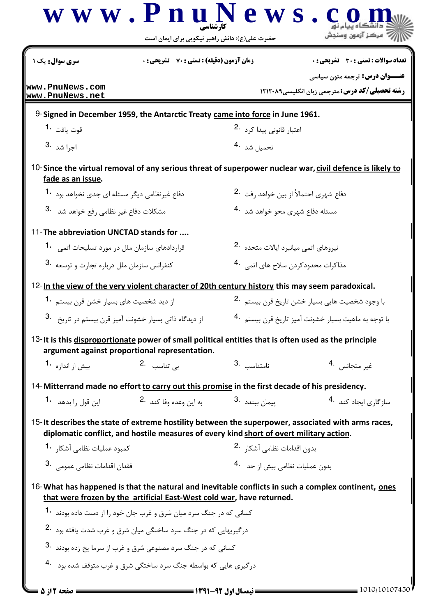|                                                               | www.PnuN<br>حضرت علی(ع): دانش راهبر نیکویی برای ایمان است                                                                                             | ews                                                            | مركز آزمهن وسنحش                                                                                         |  |  |
|---------------------------------------------------------------|-------------------------------------------------------------------------------------------------------------------------------------------------------|----------------------------------------------------------------|----------------------------------------------------------------------------------------------------------|--|--|
| <b>سری سوال:</b> یک ۱                                         | <b>زمان آزمون (دقیقه) : تستی : 70 ٪ تشریحی: 0</b>                                                                                                     |                                                                | تعداد سوالات : تستي : 30 ٪ تشريحي : 0                                                                    |  |  |
| www.PnuNews.com<br>www.PnuNews.net                            |                                                                                                                                                       |                                                                | <b>عنـــوان درس:</b> ترجمه متون سیاسی<br><b>رشته تحصیلی/کد درس: مترجمی زبان انگلیسی1۲۱۲۰۸۹</b>           |  |  |
|                                                               | 9-Signed in December 1959, the Antarctic Treaty came into force in June 1961.                                                                         |                                                                |                                                                                                          |  |  |
| قوت يافت <b>1</b> ۰                                           |                                                                                                                                                       | اعتبار قانونی پیدا کرد <sup>.2</sup>                           |                                                                                                          |  |  |
| 3. اجرا شد                                                    |                                                                                                                                                       | تحميل شد <sup>.4</sup>                                         |                                                                                                          |  |  |
| fade as an issue.                                             |                                                                                                                                                       |                                                                | 10-Since the virtual removal of any serious threat of superpower nuclear war, civil defence is likely to |  |  |
| دفاع غیرنظامی دیگر مسئله ای جدی نخواهد بود <b>1۰</b>          |                                                                                                                                                       | دفاع شهري احتمالاً از بين خواهد رفت <sup>.2</sup>              |                                                                                                          |  |  |
|                                                               | 3. مشکلات دفاع غیر نظامی <sub>د</sub> فع خواهد شد                                                                                                     |                                                                | مسئله دفاع شهری محو خواهد شد <sup>.4</sup>                                                               |  |  |
| 11-The abbreviation UNCTAD stands for                         |                                                                                                                                                       |                                                                |                                                                                                          |  |  |
|                                                               | قراردادهای سازمان ملل در مورد تسلیحات اتمی 1.                                                                                                         |                                                                | نيروهاي اتمى ميانبرد ايالات متحده 2.                                                                     |  |  |
| کنفرانس سازمان ملل درباره تجارت و توسعه <sup>3</sup> ۰        |                                                                                                                                                       | مذاکرات محدودکردن سلاح های اتمی <sup>.4</sup>                  |                                                                                                          |  |  |
|                                                               | 12-In the view of the very violent character of 20th century history this may seem paradoxical.                                                       |                                                                |                                                                                                          |  |  |
| از دید شخصیت های بسیار خشن قرن بیستم <b>1</b>                 |                                                                                                                                                       | با وجود شخصيت هايي بسيار خشن تاريخ قرن بيستم <sup>.2</sup>     |                                                                                                          |  |  |
| از دیدگاه ذاتی بسیار خشونت آمیز قرن بیستم در تاریخ $\cdot$ 3. |                                                                                                                                                       | با توجه به ماهيت بسيار خشونت آميز تاريخ قرن بيستم $\,$ -4 $\,$ |                                                                                                          |  |  |
|                                                               | 13-It is this disproportionate power of small political entities that is often used as the principle<br>argument against proportional representation. |                                                                |                                                                                                          |  |  |
| بیش از اندازه <b>1</b> ۰                                      | بے تناسب <sup>2</sup> ۰                                                                                                                               | نامتناسب 3.                                                    | غير متجانس                                                                                               |  |  |
|                                                               | 14-Mitterrand made no effort to carry out this promise in the first decade of his presidency.                                                         |                                                                |                                                                                                          |  |  |
| این قول <sub>د</sub> ا بدهد <b>1</b> ۰                        | به این وعده وفا کند <sup>.2</sup>                                                                                                                     | ييمان ببندد .3                                                 | ساز <i>گ</i> اری ایجاد کند <sup>4</sup> ۰                                                                |  |  |
|                                                               | diplomatic conflict, and hostile measures of every kind short of overt military action.                                                               |                                                                | 15-It describes the state of extreme hostility between the superpower, associated with arms races,       |  |  |
| كمبود عمليات نظامي آشكار <b>1</b>                             |                                                                                                                                                       | بدون اقدامات نظامي آشكار <sup>2</sup> ۰                        |                                                                                                          |  |  |
| فقدان اقدامات نظامی عمومی .3                                  |                                                                                                                                                       | بدون عمليات نظامي بيش از حد <sup>4</sup> .                     |                                                                                                          |  |  |
|                                                               | that were frozen by the artificial East-West cold war, have returned.                                                                                 |                                                                | 16-What has happened is that the natural and inevitable conflicts in such a complex continent, ones      |  |  |
|                                                               | کسانی که در جنگ سرد میان شرق و غرب جان خود ۱٫از دست داده بودند <b>۱۰</b>                                                                              |                                                                |                                                                                                          |  |  |
|                                                               | درگیریهایی که در جنگ سرد ساختگی میان شرق و غرب شدت یافته بود <sup>.2</sup>                                                                            |                                                                |                                                                                                          |  |  |
|                                                               | کسانی که در جنگ سرد مصنوعی شرق و غرب از سرما یخ زده بودند <sup>.3</sup>                                                                               |                                                                |                                                                                                          |  |  |
|                                                               | درگیری هایی که بواسطه جنگ سرد ساختگی شرق و غرب متوقف شده بود <sup>4</sup> ۰                                                                           |                                                                |                                                                                                          |  |  |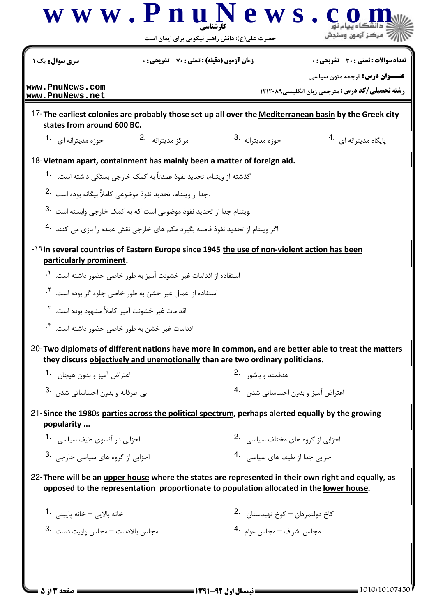|                                                                                                                         |                                                                                                  | حضرت علی(ع): دانش راهبر نیکویی برای ایمان است         |                                                                                                       |  |
|-------------------------------------------------------------------------------------------------------------------------|--------------------------------------------------------------------------------------------------|-------------------------------------------------------|-------------------------------------------------------------------------------------------------------|--|
| <b>سری سوال :</b> یک ۱                                                                                                  | <b>زمان آزمون (دقیقه) : تستی : 70 ٪ تشریحی : 0</b>                                               |                                                       | تعداد سوالات : تستي : 30 ٪ تشريحي : 0                                                                 |  |
| www.PnuNews.com<br>www.PnuNews.net                                                                                      |                                                                                                  |                                                       | <b>عنـــوان درس:</b> ترجمه متون سیاسی<br><b>رشته تحصیلی/کد درس: مترجمی زبان انگلیسی ۱۲۱۲۰۸۹</b>       |  |
| states from around 600 BC.                                                                                              |                                                                                                  |                                                       | 17-The earliest colonies are probably those set up all over the Mediterranean basin by the Greek city |  |
| حوزه مدیترانه ای <b>1</b> ۰                                                                                             | مركز مديترانه 2.                                                                                 | 3. حوزه مديترانه                                      | پایگاه مدیترانه ای 4.                                                                                 |  |
| 18-Vietnam apart, containment has mainly been a matter of foreign aid.                                                  |                                                                                                  |                                                       |                                                                                                       |  |
|                                                                                                                         | گذشته از ویتنام، تحدید نفوذ عمدتاً به کمک خارجی بستگی داشته است. <b>1</b>                        |                                                       |                                                                                                       |  |
|                                                                                                                         | .جدا از ويتنام، تحديد نفوذ موضوعي كاملاً بيگانه بوده است 2.                                      |                                                       |                                                                                                       |  |
|                                                                                                                         | .ويتنام جدا از تحديد نفوذ موضوعي است كه به كمك خارجي وابسته است .3                               |                                                       |                                                                                                       |  |
|                                                                                                                         | .اگر ویتنام از تحدید نفوذ فاصله بگیرد مکم های خارجی نقش عمده ,ا بازی می کنند <sup>.4</sup>       |                                                       |                                                                                                       |  |
| -19 In several countries of Eastern Europe since 1945 the use of non-violent action has been<br>particularly prominent. |                                                                                                  |                                                       |                                                                                                       |  |
|                                                                                                                         | استفاده از اقدامات غیر خشونت آمیز به طور خاصی حضور داشته است. <sup>۱</sup> ۰                     |                                                       |                                                                                                       |  |
|                                                                                                                         | استفاده از اعمال غیر خشن به طور خاصی جلوه گر بوده است. <sup>۲</sup> ۰                            |                                                       |                                                                                                       |  |
| اقدامات غیر خشونت آمیز کاملاً مشهود بوده است. <sup>۳</sup> ۰                                                            |                                                                                                  |                                                       |                                                                                                       |  |
| اقدامات غیر خشن به طور خاصی حضور داشته است. <sup>۴</sup> ۰                                                              |                                                                                                  |                                                       |                                                                                                       |  |
|                                                                                                                         | they discuss objectively and unemotionally than are two ordinary politicians.                    |                                                       | 20-Two diplomats of different nations have more in common, and are better able to treat the matters   |  |
| اعتراض آميز و بدون هيجان <b>1</b> ۰                                                                                     |                                                                                                  | هدفمند و باشور 2.                                     |                                                                                                       |  |
| بي طرفانه و بدون احساساتي شدن <sup>.3</sup>                                                                             |                                                                                                  | اعتراض آميز و بدون احساساتي شدن     .4                |                                                                                                       |  |
| popularity                                                                                                              | 21-Since the 1980s parties across the political spectrum, perhaps alerted equally by the growing |                                                       |                                                                                                       |  |
| احزابی در آنسوی طیف سیاسی . <b>1</b>                                                                                    |                                                                                                  | احزابی از گروه های مختلف سیاسی   .2                   |                                                                                                       |  |
| احزابي از گروه هاي سياسي خارجي. <sup>3</sup> ۰                                                                          |                                                                                                  | احزابي جدا از طيف هاي سياسي   .4                      |                                                                                                       |  |
|                                                                                                                         |                                                                                                  |                                                       | 22-There will be an upper house where the states are represented in their own right and equally, as   |  |
|                                                                                                                         | opposed to the representation proportionate to population allocated in the lower house.          |                                                       |                                                                                                       |  |
| خانه بالایی <sup>—</sup> خانه پایینے، <b>1۰</b>                                                                         |                                                                                                  | كاخ دولتمردان <sup>—</sup> كوخ تهيدستان <sup>.2</sup> |                                                                                                       |  |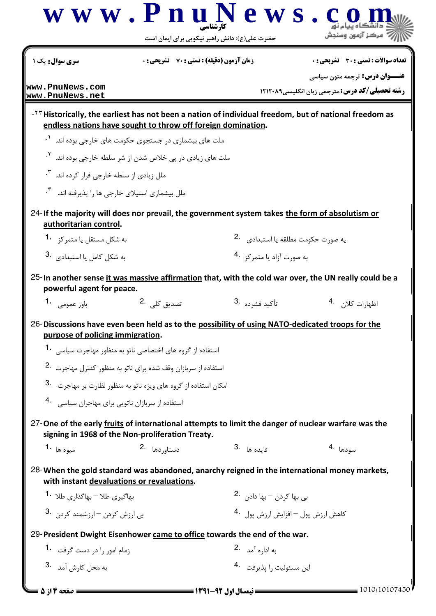|                                                                                                                                     | www.PnuN                                                                  | ews.<br>حضرت علی(ع): دانش راهبر نیکویی برای ایمان است |                                                                                                          |  |
|-------------------------------------------------------------------------------------------------------------------------------------|---------------------------------------------------------------------------|-------------------------------------------------------|----------------------------------------------------------------------------------------------------------|--|
| سری سوال: یک ۱                                                                                                                      | <b>زمان آزمون (دقیقه) : تستی : 70 ٪ تشریحی: 0</b>                         |                                                       | تعداد سوالات : تستي : 30 ٪ تشريحي : 0                                                                    |  |
| www.PnuNews.com<br>www.PnuNews.net                                                                                                  |                                                                           |                                                       | <b>عنـــوان درس:</b> ترجمه متون سیاسی<br><b>رشته تحصیلی/کد درس: مترجمی زبان انگلیسی1۲۱۲۰۸۹</b>           |  |
|                                                                                                                                     | endless nations have sought to throw off foreign domination.              |                                                       | $-14$ Historically, the earliest has not been a nation of individual freedom, but of national freedom as |  |
|                                                                                                                                     | ملت های بیشماری در جستجوی حکومت های خارجی بوده اند. <sup>۱</sup> ۰        |                                                       |                                                                                                          |  |
|                                                                                                                                     | ملت های زیادی در پی خلاص شدن از شر سلطه خارجی بوده اند. <sup>۲</sup> ۰    |                                                       |                                                                                                          |  |
| ملل زیادی از سلطه خارجی فرار کرده اند. <sup>۳</sup> ۰                                                                               |                                                                           |                                                       |                                                                                                          |  |
| ملل بیشماری استیلای خارجی ها را پذیرفته اند.                                                                                        |                                                                           |                                                       |                                                                                                          |  |
| 24-If the majority will does nor prevail, the government system takes the form of absolutism or<br>authoritarian control.           |                                                                           |                                                       |                                                                                                          |  |
| به شکل مستقل یا متمرکز <sup>1</sup>                                                                                                 |                                                                           |                                                       | يه صورت حكومت مطلقه يا استبدادي. <sup>2</sup>                                                            |  |
| به شکل کامل یا استبدادی <sup>.3</sup>                                                                                               |                                                                           |                                                       | به صورت آزاد یا متمرکز <sup>4</sup> ۰                                                                    |  |
| powerful agent for peace.                                                                                                           |                                                                           |                                                       | 25-In another sense it was massive affirmation that, with the cold war over, the UN really could be a    |  |
| باور عمومی۔ <b>1</b> ۰                                                                                                              | تصدیق کلے، 2.                                                             | تأكيد فشرده <sup>.3</sup>                             | اظهارات كلا <sub>ن</sub> . 4                                                                             |  |
| 26-Discussions have even been held as to the possibility of using NATO-dedicated troops for the<br>purpose of policing immigration. |                                                                           |                                                       |                                                                                                          |  |
|                                                                                                                                     | استفاده از گروه های اختصاصی ناتو به منظور مهاجرت سیاسی <b>1</b> ۰         |                                                       |                                                                                                          |  |
|                                                                                                                                     | استفاده از سربازان وقف شده برای ناتو به منظور کنترل مهاجرت <sup>2</sup> ۰ |                                                       |                                                                                                          |  |
|                                                                                                                                     | امکان استفاده از گروه های ویژه ناتو به منظور نظارت بر مهاجرت ۔3           |                                                       |                                                                                                          |  |
| استفاده از سربازان ناتویی برای مهاجران سیاسی . 4                                                                                    |                                                                           |                                                       |                                                                                                          |  |
|                                                                                                                                     | signing in 1968 of the Non-proliferation Treaty.                          |                                                       | 27-One of the early fruits of international attempts to limit the danger of nuclear warfare was the      |  |
| ميوه ها <b>1</b> ۰                                                                                                                  | دستاوردها .2                                                              | 3. هايده ها                                           | سودها 4.                                                                                                 |  |
| with instant devaluations or revaluations.                                                                                          |                                                                           |                                                       | 28-When the gold standard was abandoned, anarchy reigned in the international money markets,             |  |
| بهاگیری طلا <sup>—</sup> بهاگذا <sub>ً</sub> ی طلا <b>1</b> ۰                                                                       |                                                                           |                                                       | بی بھا کردن – بھا داد <sub>ن ۔</sub> .2                                                                  |  |
| بی ارزش کردن -ارزشمند کردن . 3                                                                                                      |                                                                           |                                                       | كاهش ارزش يول – افزايش ارزش يول لـ 4                                                                     |  |
| 29-President Dwight Eisenhower came to office towards the end of the war.                                                           |                                                                           |                                                       |                                                                                                          |  |
| زمام امور را در دست گرفت <b>1</b> ۰                                                                                                 |                                                                           | به ادا <sub>ر</sub> ه آمد 2.                          |                                                                                                          |  |
| به محل کارش آمد 3.                                                                                                                  |                                                                           | این مسئولیت را یذیرفت 4.                              |                                                                                                          |  |